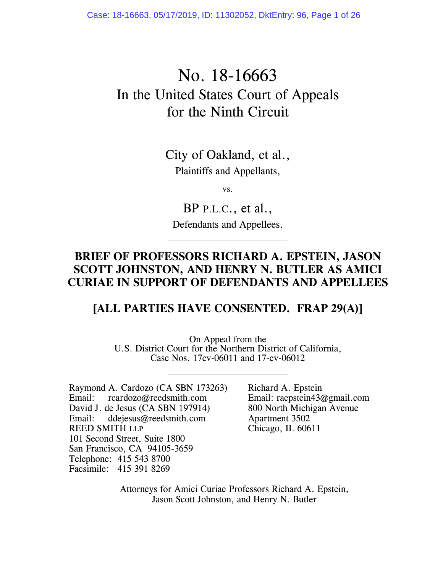Case: 18-16663, 05/17/2019, ID: 11302052, DktEntry: 96, Page 1 of 26

# No. 18-16663 In the United States Court of Appeals for the Ninth Circuit

City of Oakland, et al., Plaintiffs and Appellants,

vs.

BP P.L.C., et al., Defendants and Appellees.

### **BRIEF OF PROFESSORS RICHARD A. EPSTEIN, JASON SCOTT JOHNSTON, AND HENRY N. BUTLER AS AMICI CURIAE IN SUPPORT OF DEFENDANTS AND APPELLEES**

#### **[ALL PARTIES HAVE CONSENTED. FRAP 29(A)]**

On Appeal from the U.S. District Court for the Northern District of California, Case Nos. 17cv-06011 and 17-cv-06012

Raymond A. Cardozo (CA SBN 173263)<br>Email: reardozo@reedsmith.com rcardozo@reedsmith.com David J. de Jesus (CA SBN 197914) Email: ddejesus@reedsmith.com REED SMITH LLP 101 Second Street, Suite 1800 San Francisco, CA 94105-3659 Telephone: 415 543 8700 Facsimile: 415 391 8269

Richard A. Epstein Email: raepstein43@gmail.com 800 North Michigan Avenue Apartment 3502 Chicago, IL 60611

Attorneys for Amici Curiae Professors Richard A. Epstein, Jason Scott Johnston, and Henry N. Butler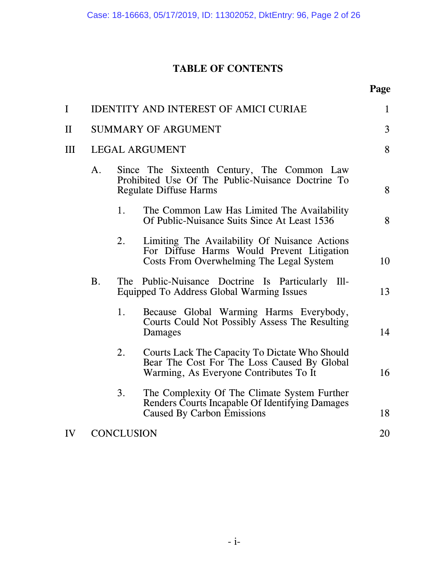### **TABLE OF CONTENTS**

| I            |                            |                       | <b>IDENTITY AND INTEREST OF AMICI CURIAE</b>                                                                                            | $\mathbf{1}$ |  |
|--------------|----------------------------|-----------------------|-----------------------------------------------------------------------------------------------------------------------------------------|--------------|--|
| $\mathbf{I}$ | <b>SUMMARY OF ARGUMENT</b> |                       |                                                                                                                                         | 3            |  |
| III          |                            | <b>LEGAL ARGUMENT</b> |                                                                                                                                         |              |  |
|              | A.                         |                       | Since The Sixteenth Century, The Common Law<br>Prohibited Use Of The Public-Nuisance Doctrine To<br><b>Regulate Diffuse Harms</b>       | 8            |  |
|              |                            | 1.                    | The Common Law Has Limited The Availability<br>Of Public-Nuisance Suits Since At Least 1536                                             | 8            |  |
|              |                            | 2.                    | Limiting The Availability Of Nuisance Actions<br>For Diffuse Harms Would Prevent Litigation<br>Costs From Overwhelming The Legal System | 10           |  |
|              | <b>B.</b>                  |                       | The Public-Nuisance Doctrine Is Particularly Ill-<br>Equipped To Address Global Warming Issues                                          | 13           |  |
|              |                            | 1.                    | Because Global Warming Harms Everybody,<br>Courts Could Not Possibly Assess The Resulting<br>Damages                                    | 14           |  |
|              |                            | 2.                    | Courts Lack The Capacity To Dictate Who Should<br>Bear The Cost For The Loss Caused By Global<br>Warming, As Everyone Contributes To It | 16           |  |
|              |                            | 3.                    | The Complexity Of The Climate System Further<br>Renders Courts Incapable Of Identifying Damages<br><b>Caused By Carbon Emissions</b>    | 18           |  |
| IV           | <b>CONCLUSION</b>          |                       |                                                                                                                                         | 20           |  |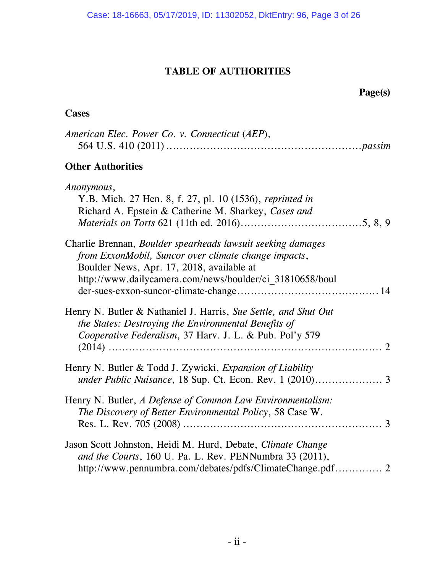### **TABLE OF AUTHORITIES**

 **Page(s)** 

### **Cases**

| American Elec. Power Co. v. Connecticut (AEP),                                                                                                                                                                               |  |
|------------------------------------------------------------------------------------------------------------------------------------------------------------------------------------------------------------------------------|--|
| <b>Other Authorities</b>                                                                                                                                                                                                     |  |
| Anonymous,<br>Y.B. Mich. 27 Hen. 8, f. 27, pl. 10 (1536), reprinted in<br>Richard A. Epstein & Catherine M. Sharkey, Cases and                                                                                               |  |
| Charlie Brennan, Boulder spearheads lawsuit seeking damages<br>from ExxonMobil, Suncor over climate change impacts,<br>Boulder News, Apr. 17, 2018, available at<br>http://www.dailycamera.com/news/boulder/ci_31810658/boul |  |
| Henry N. Butler & Nathaniel J. Harris, Sue Settle, and Shut Out<br>the States: Destroying the Environmental Benefits of<br>Cooperative Federalism, 37 Harv. J. L. & Pub. Pol'y 579                                           |  |
| Henry N. Butler & Todd J. Zywicki, <i>Expansion of Liability</i>                                                                                                                                                             |  |
| Henry N. Butler, A Defense of Common Law Environmentalism:<br>The Discovery of Better Environmental Policy, 58 Case W.                                                                                                       |  |
| Jason Scott Johnston, Heidi M. Hurd, Debate, Climate Change<br>and the Courts, 160 U. Pa. L. Rev. PENNumbra 33 (2011),                                                                                                       |  |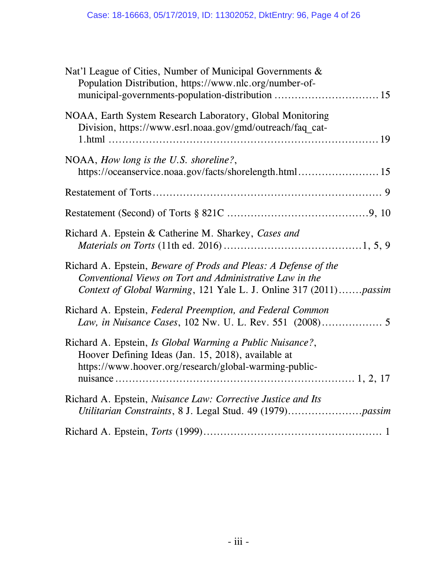| Nat'l League of Cities, Number of Municipal Governments &<br>Population Distribution, https://www.nlc.org/number-of-                                                                             |
|--------------------------------------------------------------------------------------------------------------------------------------------------------------------------------------------------|
| NOAA, Earth System Research Laboratory, Global Monitoring<br>Division, https://www.esrl.noaa.gov/gmd/outreach/faq cat-                                                                           |
| NOAA, How long is the U.S. shoreline?,<br>https://oceanservice.noaa.gov/facts/shorelength.html  15                                                                                               |
|                                                                                                                                                                                                  |
|                                                                                                                                                                                                  |
| Richard A. Epstein & Catherine M. Sharkey, Cases and                                                                                                                                             |
| Richard A. Epstein, Beware of Prods and Pleas: A Defense of the<br>Conventional Views on Tort and Administrative Law in the<br>Context of Global Warming, 121 Yale L. J. Online 317 (2011)passim |
| Richard A. Epstein, Federal Preemption, and Federal Common                                                                                                                                       |
| Richard A. Epstein, Is Global Warming a Public Nuisance?,<br>Hoover Defining Ideas (Jan. 15, 2018), available at<br>https://www.hoover.org/research/global-warming-public-                       |
| Richard A. Epstein, Nuisance Law: Corrective Justice and Its                                                                                                                                     |
|                                                                                                                                                                                                  |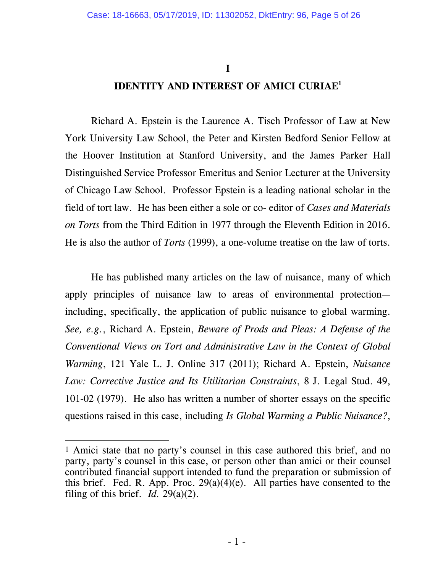**I** 

### **IDENTITY AND INTEREST OF AMICI CURIAE1**

Richard A. Epstein is the Laurence A. Tisch Professor of Law at New York University Law School, the Peter and Kirsten Bedford Senior Fellow at the Hoover Institution at Stanford University, and the James Parker Hall Distinguished Service Professor Emeritus and Senior Lecturer at the University of Chicago Law School. Professor Epstein is a leading national scholar in the field of tort law. He has been either a sole or co- editor of *Cases and Materials on Torts* from the Third Edition in 1977 through the Eleventh Edition in 2016. He is also the author of *Torts* (1999), a one-volume treatise on the law of torts.

He has published many articles on the law of nuisance, many of which apply principles of nuisance law to areas of environmental protection including, specifically, the application of public nuisance to global warming. *See, e.g.*, Richard A. Epstein, *Beware of Prods and Pleas: A Defense of the Conventional Views on Tort and Administrative Law in the Context of Global Warming*, 121 Yale L. J. Online 317 (2011); Richard A. Epstein, *Nuisance Law: Corrective Justice and Its Utilitarian Constraints*, 8 J. Legal Stud. 49, 101-02 (1979). He also has written a number of shorter essays on the specific questions raised in this case, including *Is Global Warming a Public Nuisance?*,

 $\overline{a}$ 

<sup>1</sup> Amici state that no party's counsel in this case authored this brief, and no party, party's counsel in this case, or person other than amici or their counsel contributed financial support intended to fund the preparation or submission of this brief. Fed. R. App. Proc.  $29(a)(4)(e)$ . All parties have consented to the filing of this brief. *Id.* 29(a)(2).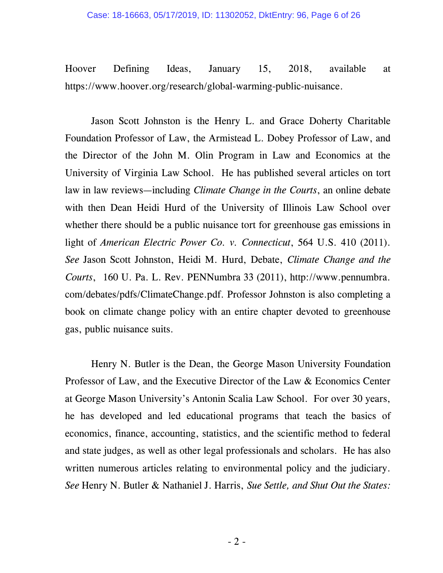Hoover Defining Ideas, January 15, 2018, available at https://www.hoover.org/research/global-warming-public-nuisance.

Jason Scott Johnston is the Henry L. and Grace Doherty Charitable Foundation Professor of Law, the Armistead L. Dobey Professor of Law, and the Director of the John M. Olin Program in Law and Economics at the University of Virginia Law School. He has published several articles on tort law in law reviews—including *Climate Change in the Courts*, an online debate with then Dean Heidi Hurd of the University of Illinois Law School over whether there should be a public nuisance tort for greenhouse gas emissions in light of *American Electric Power Co. v. Connecticut*, 564 U.S. 410 (2011). *See* Jason Scott Johnston, Heidi M. Hurd, Debate, *Climate Change and the Courts*, 160 U. Pa. L. Rev. PENNumbra 33 (2011), http://www.pennumbra. com/debates/pdfs/ClimateChange.pdf. Professor Johnston is also completing a book on climate change policy with an entire chapter devoted to greenhouse gas, public nuisance suits.

Henry N. Butler is the Dean, the George Mason University Foundation Professor of Law, and the Executive Director of the Law & Economics Center at George Mason University's Antonin Scalia Law School. For over 30 years, he has developed and led educational programs that teach the basics of economics, finance, accounting, statistics, and the scientific method to federal and state judges, as well as other legal professionals and scholars. He has also written numerous articles relating to environmental policy and the judiciary. *See* Henry N. Butler & Nathaniel J. Harris, *Sue Settle, and Shut Out the States:*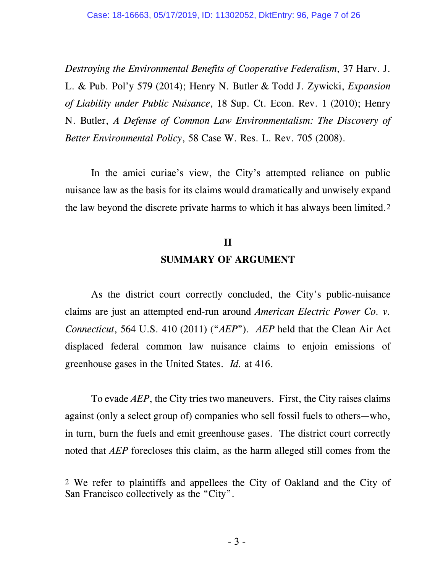*Destroying the Environmental Benefits of Cooperative Federalism*, 37 Harv. J. L. & Pub. Pol'y 579 (2014); Henry N. Butler & Todd J. Zywicki, *Expansion of Liability under Public Nuisance*, 18 Sup. Ct. Econ. Rev. 1 (2010); Henry N. Butler, *A Defense of Common Law Environmentalism: The Discovery of Better Environmental Policy*, 58 Case W. Res. L. Rev. 705 (2008).

In the amici curiae's view, the City's attempted reliance on public nuisance law as the basis for its claims would dramatically and unwisely expand the law beyond the discrete private harms to which it has always been limited.2

## **II SUMMARY OF ARGUMENT**

As the district court correctly concluded, the City's public-nuisance claims are just an attempted end-run around *American Electric Power Co. v. Connecticut*, 564 U.S. 410 (2011) ("*AEP*"). *AEP* held that the Clean Air Act displaced federal common law nuisance claims to enjoin emissions of greenhouse gases in the United States. *Id.* at 416.

To evade *AEP*, the City tries two maneuvers. First, the City raises claims against (only a select group of) companies who sell fossil fuels to others—who, in turn, burn the fuels and emit greenhouse gases. The district court correctly noted that *AEP* forecloses this claim, as the harm alleged still comes from the

-

<sup>2</sup> We refer to plaintiffs and appellees the City of Oakland and the City of San Francisco collectively as the "City".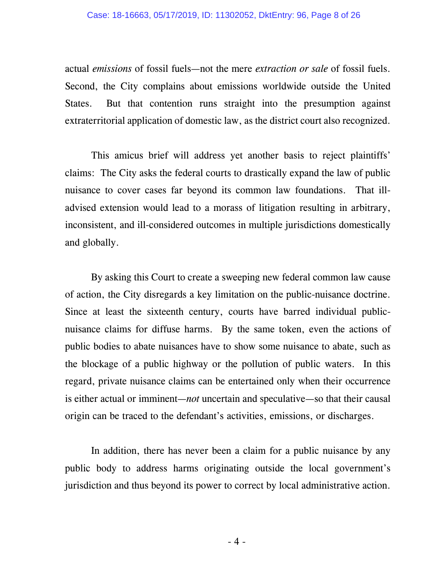actual *emissions* of fossil fuels—not the mere *extraction or sale* of fossil fuels. Second, the City complains about emissions worldwide outside the United States. But that contention runs straight into the presumption against extraterritorial application of domestic law, as the district court also recognized.

This amicus brief will address yet another basis to reject plaintiffs' claims: The City asks the federal courts to drastically expand the law of public nuisance to cover cases far beyond its common law foundations. That illadvised extension would lead to a morass of litigation resulting in arbitrary, inconsistent, and ill-considered outcomes in multiple jurisdictions domestically and globally.

By asking this Court to create a sweeping new federal common law cause of action, the City disregards a key limitation on the public-nuisance doctrine. Since at least the sixteenth century, courts have barred individual publicnuisance claims for diffuse harms. By the same token, even the actions of public bodies to abate nuisances have to show some nuisance to abate, such as the blockage of a public highway or the pollution of public waters. In this regard, private nuisance claims can be entertained only when their occurrence is either actual or imminent—*not* uncertain and speculative—so that their causal origin can be traced to the defendant's activities, emissions, or discharges.

In addition, there has never been a claim for a public nuisance by any public body to address harms originating outside the local government's jurisdiction and thus beyond its power to correct by local administrative action.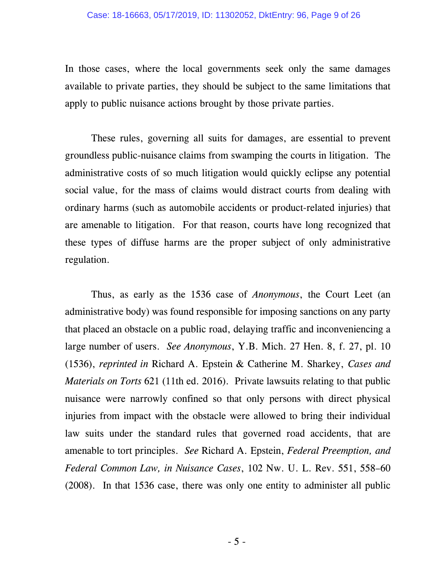#### Case: 18-16663, 05/17/2019, ID: 11302052, DktEntry: 96, Page 9 of 26

In those cases, where the local governments seek only the same damages available to private parties, they should be subject to the same limitations that apply to public nuisance actions brought by those private parties.

These rules, governing all suits for damages, are essential to prevent groundless public-nuisance claims from swamping the courts in litigation. The administrative costs of so much litigation would quickly eclipse any potential social value, for the mass of claims would distract courts from dealing with ordinary harms (such as automobile accidents or product-related injuries) that are amenable to litigation. For that reason, courts have long recognized that these types of diffuse harms are the proper subject of only administrative regulation.

Thus, as early as the 1536 case of *Anonymous*, the Court Leet (an administrative body) was found responsible for imposing sanctions on any party that placed an obstacle on a public road, delaying traffic and inconveniencing a large number of users. *See Anonymous*, Y.B. Mich. 27 Hen. 8, f. 27, pl. 10 (1536), *reprinted in* Richard A. Epstein & Catherine M. Sharkey, *Cases and Materials on Torts* 621 (11th ed. 2016). Private lawsuits relating to that public nuisance were narrowly confined so that only persons with direct physical injuries from impact with the obstacle were allowed to bring their individual law suits under the standard rules that governed road accidents, that are amenable to tort principles. *See* Richard A. Epstein, *Federal Preemption, and Federal Common Law, in Nuisance Cases*, 102 Nw. U. L. Rev. 551, 558–60 (2008). In that 1536 case, there was only one entity to administer all public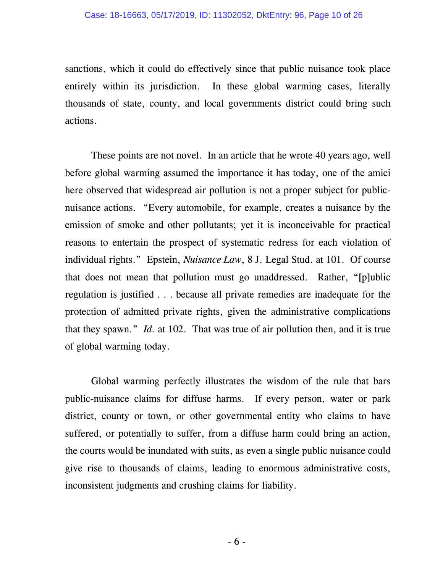sanctions, which it could do effectively since that public nuisance took place entirely within its jurisdiction. In these global warming cases, literally thousands of state, county, and local governments district could bring such actions.

These points are not novel. In an article that he wrote 40 years ago, well before global warming assumed the importance it has today, one of the amici here observed that widespread air pollution is not a proper subject for publicnuisance actions. "Every automobile, for example, creates a nuisance by the emission of smoke and other pollutants; yet it is inconceivable for practical reasons to entertain the prospect of systematic redress for each violation of individual rights." Epstein, *Nuisance Law*, 8 J. Legal Stud. at 101. Of course that does not mean that pollution must go unaddressed. Rather, "[p]ublic regulation is justified . . . because all private remedies are inadequate for the protection of admitted private rights, given the administrative complications that they spawn." *Id.* at 102. That was true of air pollution then, and it is true of global warming today.

Global warming perfectly illustrates the wisdom of the rule that bars public-nuisance claims for diffuse harms. If every person, water or park district, county or town, or other governmental entity who claims to have suffered, or potentially to suffer, from a diffuse harm could bring an action, the courts would be inundated with suits, as even a single public nuisance could give rise to thousands of claims, leading to enormous administrative costs, inconsistent judgments and crushing claims for liability.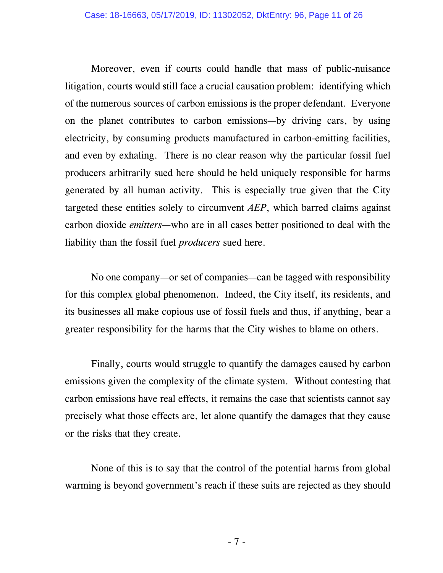Moreover, even if courts could handle that mass of public-nuisance litigation, courts would still face a crucial causation problem: identifying which of the numerous sources of carbon emissions is the proper defendant. Everyone on the planet contributes to carbon emissions—by driving cars, by using electricity, by consuming products manufactured in carbon-emitting facilities, and even by exhaling. There is no clear reason why the particular fossil fuel producers arbitrarily sued here should be held uniquely responsible for harms generated by all human activity. This is especially true given that the City targeted these entities solely to circumvent *AEP*, which barred claims against carbon dioxide *emitters*—who are in all cases better positioned to deal with the liability than the fossil fuel *producers* sued here.

No one company—or set of companies—can be tagged with responsibility for this complex global phenomenon. Indeed, the City itself, its residents, and its businesses all make copious use of fossil fuels and thus, if anything, bear a greater responsibility for the harms that the City wishes to blame on others.

Finally, courts would struggle to quantify the damages caused by carbon emissions given the complexity of the climate system. Without contesting that carbon emissions have real effects, it remains the case that scientists cannot say precisely what those effects are, let alone quantify the damages that they cause or the risks that they create.

None of this is to say that the control of the potential harms from global warming is beyond government's reach if these suits are rejected as they should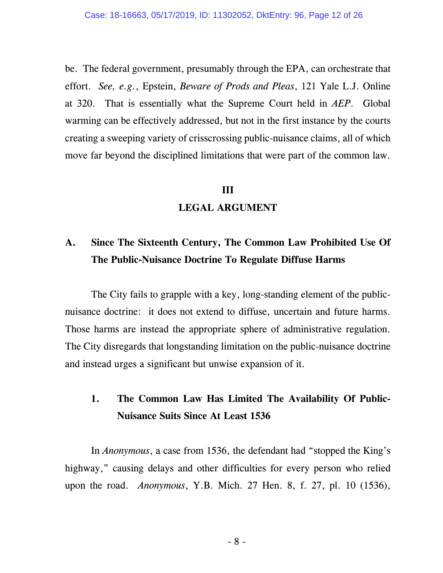be. The federal government, presumably through the EPA, can orchestrate that effort. *See, e.g.*, Epstein, *Beware of Prods and Pleas*, 121 Yale L.J. Online at 320. That is essentially what the Supreme Court held in *AEP*. Global warming can be effectively addressed, but not in the first instance by the courts creating a sweeping variety of crisscrossing public-nuisance claims, all of which move far beyond the disciplined limitations that were part of the common law.

#### **III**

#### **LEGAL ARGUMENT**

## **A. Since The Sixteenth Century, The Common Law Prohibited Use Of The Public-Nuisance Doctrine To Regulate Diffuse Harms**

The City fails to grapple with a key, long-standing element of the publicnuisance doctrine: it does not extend to diffuse, uncertain and future harms. Those harms are instead the appropriate sphere of administrative regulation. The City disregards that longstanding limitation on the public-nuisance doctrine and instead urges a significant but unwise expansion of it.

### **1. The Common Law Has Limited The Availability Of Public-Nuisance Suits Since At Least 1536**

In *Anonymous*, a case from 1536, the defendant had "stopped the King's highway," causing delays and other difficulties for every person who relied upon the road. *Anonymous*, Y.B. Mich. 27 Hen. 8, f. 27, pl. 10 (1536),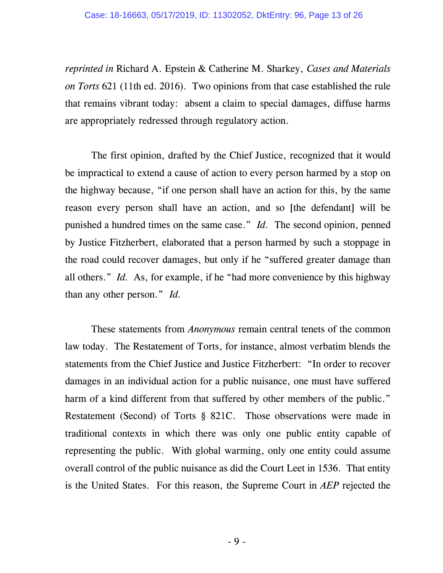*reprinted in* Richard A. Epstein & Catherine M. Sharkey, *Cases and Materials on Torts* 621 (11th ed. 2016). Two opinions from that case established the rule that remains vibrant today: absent a claim to special damages, diffuse harms are appropriately redressed through regulatory action.

The first opinion, drafted by the Chief Justice, recognized that it would be impractical to extend a cause of action to every person harmed by a stop on the highway because, "if one person shall have an action for this, by the same reason every person shall have an action, and so [the defendant] will be punished a hundred times on the same case." *Id.* The second opinion, penned by Justice Fitzherbert, elaborated that a person harmed by such a stoppage in the road could recover damages, but only if he "suffered greater damage than all others." *Id.* As, for example, if he "had more convenience by this highway than any other person." *Id.*

These statements from *Anonymous* remain central tenets of the common law today. The Restatement of Torts, for instance, almost verbatim blends the statements from the Chief Justice and Justice Fitzherbert: "In order to recover damages in an individual action for a public nuisance, one must have suffered harm of a kind different from that suffered by other members of the public." Restatement (Second) of Torts § 821C. Those observations were made in traditional contexts in which there was only one public entity capable of representing the public. With global warming, only one entity could assume overall control of the public nuisance as did the Court Leet in 1536. That entity is the United States. For this reason, the Supreme Court in *AEP* rejected the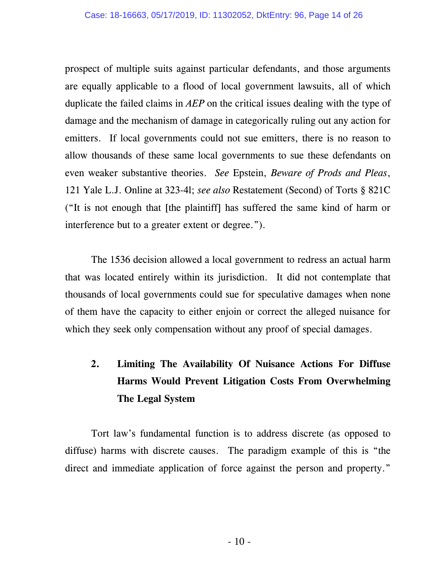prospect of multiple suits against particular defendants, and those arguments are equally applicable to a flood of local government lawsuits, all of which duplicate the failed claims in *AEP* on the critical issues dealing with the type of damage and the mechanism of damage in categorically ruling out any action for emitters. If local governments could not sue emitters, there is no reason to allow thousands of these same local governments to sue these defendants on even weaker substantive theories. *See* Epstein, *Beware of Prods and Pleas*, 121 Yale L.J. Online at 323-4l; *see also* Restatement (Second) of Torts § 821C ("It is not enough that [the plaintiff] has suffered the same kind of harm or interference but to a greater extent or degree.").

The 1536 decision allowed a local government to redress an actual harm that was located entirely within its jurisdiction. It did not contemplate that thousands of local governments could sue for speculative damages when none of them have the capacity to either enjoin or correct the alleged nuisance for which they seek only compensation without any proof of special damages.

## **2. Limiting The Availability Of Nuisance Actions For Diffuse Harms Would Prevent Litigation Costs From Overwhelming The Legal System**

Tort law's fundamental function is to address discrete (as opposed to diffuse) harms with discrete causes. The paradigm example of this is "the direct and immediate application of force against the person and property."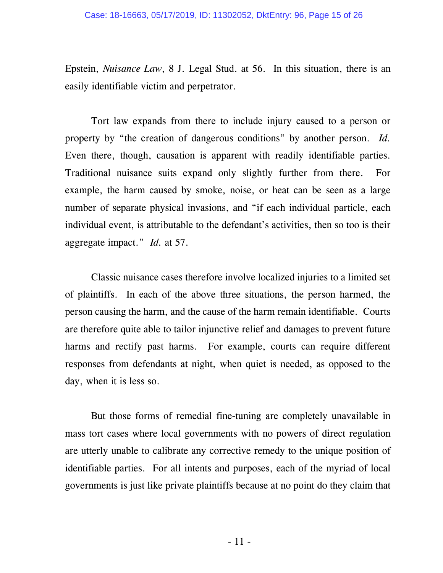Epstein, *Nuisance Law*, 8 J. Legal Stud. at 56. In this situation, there is an easily identifiable victim and perpetrator.

Tort law expands from there to include injury caused to a person or property by "the creation of dangerous conditions" by another person. *Id.*  Even there, though, causation is apparent with readily identifiable parties. Traditional nuisance suits expand only slightly further from there. For example, the harm caused by smoke, noise, or heat can be seen as a large number of separate physical invasions, and "if each individual particle, each individual event, is attributable to the defendant's activities, then so too is their aggregate impact." *Id.* at 57.

Classic nuisance cases therefore involve localized injuries to a limited set of plaintiffs. In each of the above three situations, the person harmed, the person causing the harm, and the cause of the harm remain identifiable. Courts are therefore quite able to tailor injunctive relief and damages to prevent future harms and rectify past harms. For example, courts can require different responses from defendants at night, when quiet is needed, as opposed to the day, when it is less so.

But those forms of remedial fine-tuning are completely unavailable in mass tort cases where local governments with no powers of direct regulation are utterly unable to calibrate any corrective remedy to the unique position of identifiable parties. For all intents and purposes, each of the myriad of local governments is just like private plaintiffs because at no point do they claim that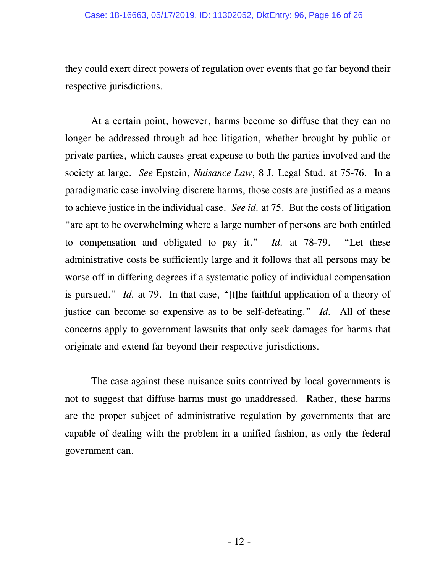they could exert direct powers of regulation over events that go far beyond their respective jurisdictions.

At a certain point, however, harms become so diffuse that they can no longer be addressed through ad hoc litigation, whether brought by public or private parties, which causes great expense to both the parties involved and the society at large. *See* Epstein, *Nuisance Law*, 8 J. Legal Stud. at 75-76. In a paradigmatic case involving discrete harms, those costs are justified as a means to achieve justice in the individual case. *See id.* at 75. But the costs of litigation "are apt to be overwhelming where a large number of persons are both entitled to compensation and obligated to pay it." *Id.* at 78-79. "Let these administrative costs be sufficiently large and it follows that all persons may be worse off in differing degrees if a systematic policy of individual compensation is pursued." *Id.* at 79. In that case, "[t]he faithful application of a theory of justice can become so expensive as to be self-defeating." *Id.* All of these concerns apply to government lawsuits that only seek damages for harms that originate and extend far beyond their respective jurisdictions.

The case against these nuisance suits contrived by local governments is not to suggest that diffuse harms must go unaddressed. Rather, these harms are the proper subject of administrative regulation by governments that are capable of dealing with the problem in a unified fashion, as only the federal government can.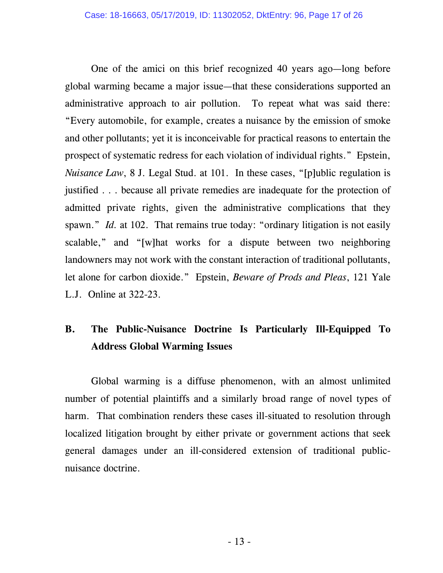One of the amici on this brief recognized 40 years ago—long before global warming became a major issue—that these considerations supported an administrative approach to air pollution. To repeat what was said there: "Every automobile, for example, creates a nuisance by the emission of smoke and other pollutants; yet it is inconceivable for practical reasons to entertain the prospect of systematic redress for each violation of individual rights." Epstein, *Nuisance Law*, 8 J. Legal Stud. at 101. In these cases, "[p]ublic regulation is justified . . . because all private remedies are inadequate for the protection of admitted private rights, given the administrative complications that they spawn." *Id.* at 102. That remains true today: "ordinary litigation is not easily scalable," and "[w]hat works for a dispute between two neighboring landowners may not work with the constant interaction of traditional pollutants, let alone for carbon dioxide." Epstein, *Beware of Prods and Pleas*, 121 Yale L.J. Online at 322-23.

## **B. The Public-Nuisance Doctrine Is Particularly Ill-Equipped To Address Global Warming Issues**

Global warming is a diffuse phenomenon, with an almost unlimited number of potential plaintiffs and a similarly broad range of novel types of harm. That combination renders these cases ill-situated to resolution through localized litigation brought by either private or government actions that seek general damages under an ill-considered extension of traditional publicnuisance doctrine.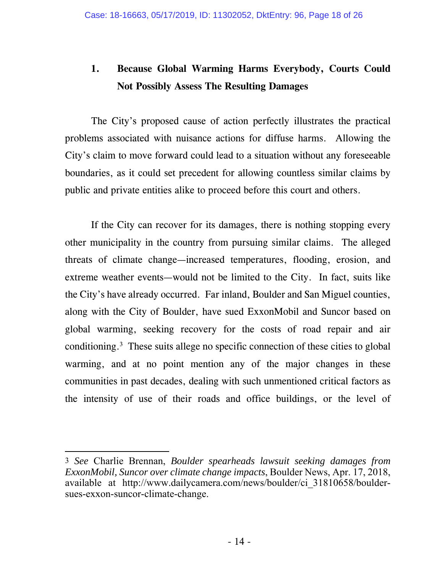## **1. Because Global Warming Harms Everybody, Courts Could Not Possibly Assess The Resulting Damages**

The City's proposed cause of action perfectly illustrates the practical problems associated with nuisance actions for diffuse harms. Allowing the City's claim to move forward could lead to a situation without any foreseeable boundaries, as it could set precedent for allowing countless similar claims by public and private entities alike to proceed before this court and others.

If the City can recover for its damages, there is nothing stopping every other municipality in the country from pursuing similar claims. The alleged threats of climate change—increased temperatures, flooding, erosion, and extreme weather events—would not be limited to the City. In fact, suits like the City's have already occurred. Far inland, Boulder and San Miguel counties, along with the City of Boulder, have sued ExxonMobil and Suncor based on global warming, seeking recovery for the costs of road repair and air conditioning.3 These suits allege no specific connection of these cities to global warming, and at no point mention any of the major changes in these communities in past decades, dealing with such unmentioned critical factors as the intensity of use of their roads and office buildings, or the level of

-

<sup>3</sup> *See* Charlie Brennan, *Boulder spearheads lawsuit seeking damages from ExxonMobil, Suncor over climate change impacts*, Boulder News, Apr. 17, 2018, available at http://www.dailycamera.com/news/boulder/ci\_31810658/bouldersues-exxon-suncor-climate-change.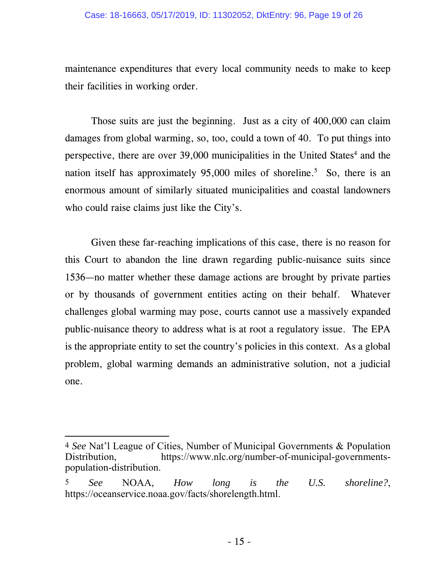maintenance expenditures that every local community needs to make to keep their facilities in working order.

Those suits are just the beginning. Just as a city of 400,000 can claim damages from global warming, so, too, could a town of 40. To put things into perspective, there are over 39,000 municipalities in the United States<sup>4</sup> and the nation itself has approximately  $95,000$  miles of shoreline.<sup>5</sup> So, there is an enormous amount of similarly situated municipalities and coastal landowners who could raise claims just like the City's.

Given these far-reaching implications of this case, there is no reason for this Court to abandon the line drawn regarding public-nuisance suits since 1536—no matter whether these damage actions are brought by private parties or by thousands of government entities acting on their behalf. Whatever challenges global warming may pose, courts cannot use a massively expanded public-nuisance theory to address what is at root a regulatory issue. The EPA is the appropriate entity to set the country's policies in this context. As a global problem, global warming demands an administrative solution, not a judicial one.

-

<sup>4</sup> *See* Nat'l League of Cities, Number of Municipal Governments & Population Distribution, https://www.nlc.org/number-of-municipal-governmentspopulation-distribution.

<sup>5</sup> *See* NOAA, *How long is the U.S. shoreline?*, https://oceanservice.noaa.gov/facts/shorelength.html.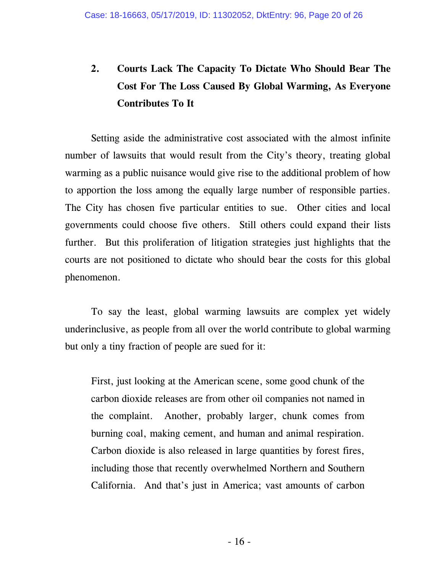# **2. Courts Lack The Capacity To Dictate Who Should Bear The Cost For The Loss Caused By Global Warming, As Everyone Contributes To It**

Setting aside the administrative cost associated with the almost infinite number of lawsuits that would result from the City's theory, treating global warming as a public nuisance would give rise to the additional problem of how to apportion the loss among the equally large number of responsible parties. The City has chosen five particular entities to sue. Other cities and local governments could choose five others. Still others could expand their lists further. But this proliferation of litigation strategies just highlights that the courts are not positioned to dictate who should bear the costs for this global phenomenon.

To say the least, global warming lawsuits are complex yet widely underinclusive, as people from all over the world contribute to global warming but only a tiny fraction of people are sued for it:

First, just looking at the American scene, some good chunk of the carbon dioxide releases are from other oil companies not named in the complaint. Another, probably larger, chunk comes from burning coal, making cement, and human and animal respiration. Carbon dioxide is also released in large quantities by forest fires, including those that recently overwhelmed Northern and Southern California. And that's just in America; vast amounts of carbon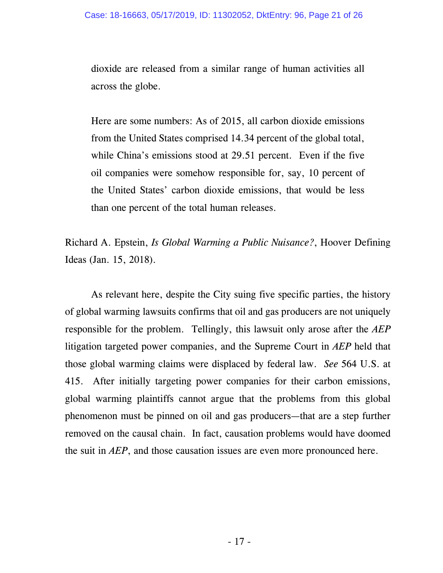dioxide are released from a similar range of human activities all across the globe.

Here are some numbers: As of 2015, all carbon dioxide emissions from the United States comprised 14.34 percent of the global total, while China's emissions stood at 29.51 percent. Even if the five oil companies were somehow responsible for, say, 10 percent of the United States' carbon dioxide emissions, that would be less than one percent of the total human releases.

Richard A. Epstein, *Is Global Warming a Public Nuisance?*, Hoover Defining Ideas (Jan. 15, 2018).

As relevant here, despite the City suing five specific parties, the history of global warming lawsuits confirms that oil and gas producers are not uniquely responsible for the problem. Tellingly, this lawsuit only arose after the *AEP*  litigation targeted power companies, and the Supreme Court in *AEP* held that those global warming claims were displaced by federal law. *See* 564 U.S. at 415. After initially targeting power companies for their carbon emissions, global warming plaintiffs cannot argue that the problems from this global phenomenon must be pinned on oil and gas producers—that are a step further removed on the causal chain. In fact, causation problems would have doomed the suit in *AEP*, and those causation issues are even more pronounced here.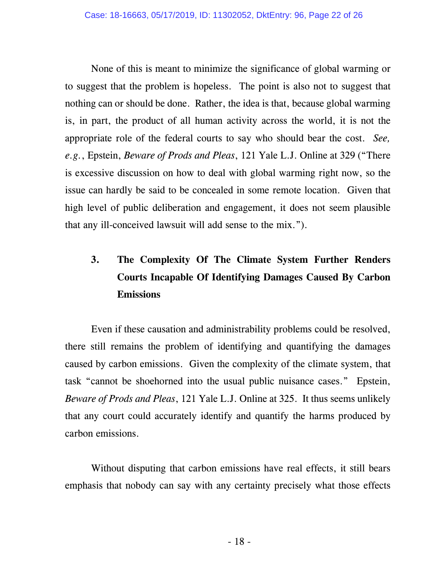None of this is meant to minimize the significance of global warming or to suggest that the problem is hopeless. The point is also not to suggest that nothing can or should be done. Rather, the idea is that, because global warming is, in part, the product of all human activity across the world, it is not the appropriate role of the federal courts to say who should bear the cost. *See, e.g.*, Epstein, *Beware of Prods and Pleas*, 121 Yale L.J. Online at 329 ("There is excessive discussion on how to deal with global warming right now, so the issue can hardly be said to be concealed in some remote location. Given that high level of public deliberation and engagement, it does not seem plausible that any ill-conceived lawsuit will add sense to the mix.").

# **3. The Complexity Of The Climate System Further Renders Courts Incapable Of Identifying Damages Caused By Carbon Emissions**

Even if these causation and administrability problems could be resolved, there still remains the problem of identifying and quantifying the damages caused by carbon emissions. Given the complexity of the climate system, that task "cannot be shoehorned into the usual public nuisance cases." Epstein, *Beware of Prods and Pleas*, 121 Yale L.J. Online at 325. It thus seems unlikely that any court could accurately identify and quantify the harms produced by carbon emissions.

Without disputing that carbon emissions have real effects, it still bears emphasis that nobody can say with any certainty precisely what those effects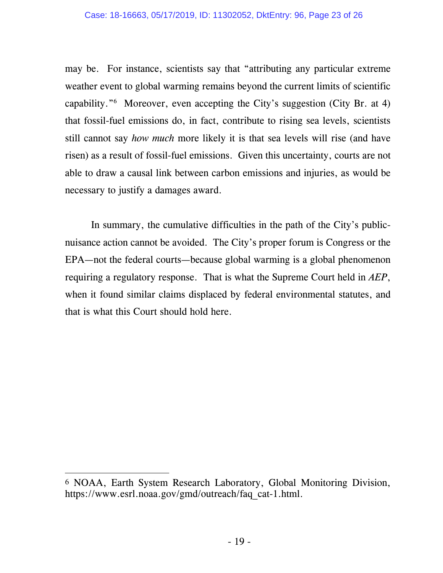#### Case: 18-16663, 05/17/2019, ID: 11302052, DktEntry: 96, Page 23 of 26

may be. For instance, scientists say that "attributing any particular extreme weather event to global warming remains beyond the current limits of scientific capability."6 Moreover, even accepting the City's suggestion (City Br. at 4) that fossil-fuel emissions do, in fact, contribute to rising sea levels, scientists still cannot say *how much* more likely it is that sea levels will rise (and have risen) as a result of fossil-fuel emissions. Given this uncertainty, courts are not able to draw a causal link between carbon emissions and injuries, as would be necessary to justify a damages award.

In summary, the cumulative difficulties in the path of the City's publicnuisance action cannot be avoided. The City's proper forum is Congress or the EPA—not the federal courts—because global warming is a global phenomenon requiring a regulatory response. That is what the Supreme Court held in *AEP*, when it found similar claims displaced by federal environmental statutes, and that is what this Court should hold here.

<sup>-</sup>6 NOAA, Earth System Research Laboratory, Global Monitoring Division, https://www.esrl.noaa.gov/gmd/outreach/faq\_cat-1.html.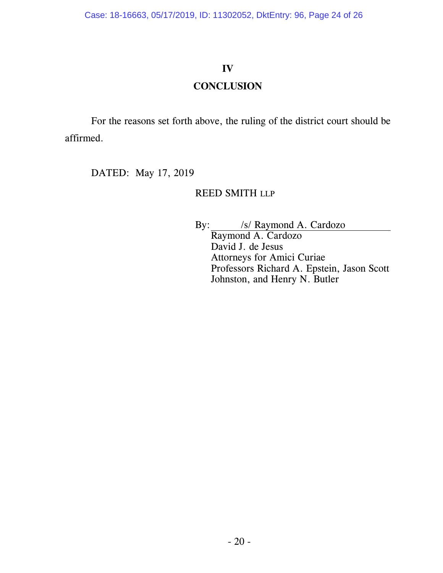#### **IV**

#### **CONCLUSION**

For the reasons set forth above, the ruling of the district court should be affirmed.

DATED: May 17, 2019

#### REED SMITH LLP

By: /s/ Raymond A. Cardozo Raymond A. Cardozo David J. de Jesus Attorneys for Amici Curiae Professors Richard A. Epstein, Jason Scott Johnston, and Henry N. Butler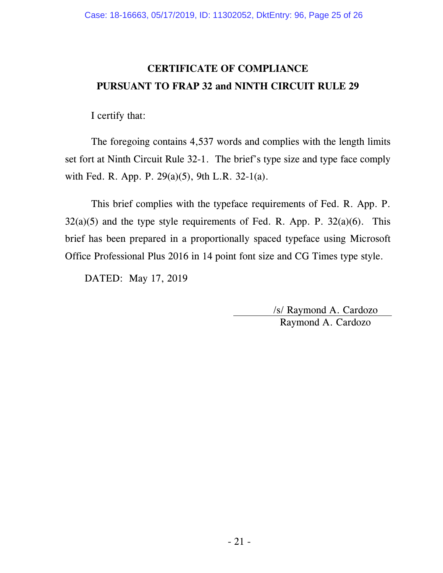## **CERTIFICATE OF COMPLIANCE PURSUANT TO FRAP 32 and NINTH CIRCUIT RULE 29**

I certify that:

The foregoing contains 4,537 words and complies with the length limits set fort at Ninth Circuit Rule 32-1. The brief's type size and type face comply with Fed. R. App. P. 29(a)(5), 9th L.R. 32-1(a).

This brief complies with the typeface requirements of Fed. R. App. P.  $32(a)(5)$  and the type style requirements of Fed. R. App. P.  $32(a)(6)$ . This brief has been prepared in a proportionally spaced typeface using Microsoft Office Professional Plus 2016 in 14 point font size and CG Times type style.

DATED: May 17, 2019

/s/ Raymond A. Cardozo Raymond A. Cardozo